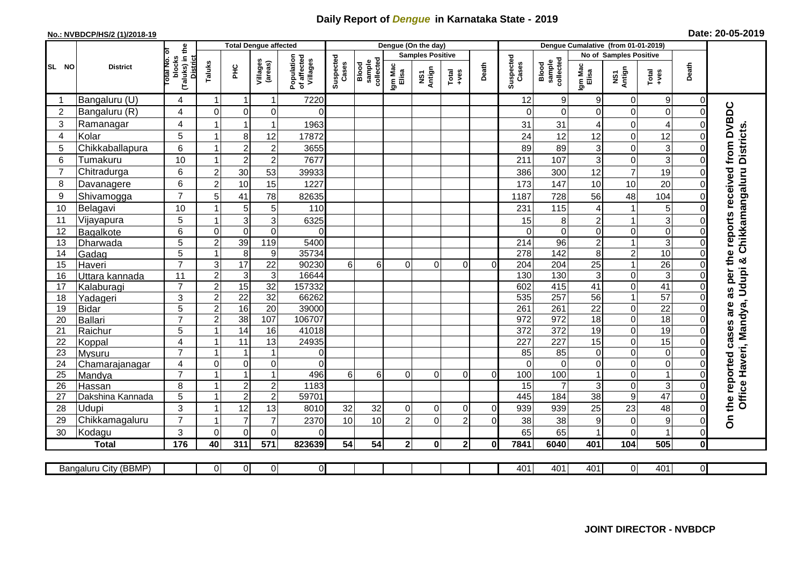## **Daily Report of** *Dengue* **in Karnataka State - 2019**

## **No.: NVBDCP/HS/2 (1)/2018-19 Date: 20-05-2019**

|                |                       |                                          |                  | <b>Total Dengue affected</b> |                         |                                       |                    |                              |                     | Dengue (On the day)     |                  |              |                    |                              |                  |                        |                  |                         |                                        |
|----------------|-----------------------|------------------------------------------|------------------|------------------------------|-------------------------|---------------------------------------|--------------------|------------------------------|---------------------|-------------------------|------------------|--------------|--------------------|------------------------------|------------------|------------------------|------------------|-------------------------|----------------------------------------|
|                |                       |                                          |                  |                              |                         |                                       |                    |                              |                     | <b>Samples Positive</b> |                  |              |                    |                              |                  | No of Samples Positive |                  |                         |                                        |
| SL NO          | <b>District</b>       | (Taluks) in the<br>otal No. ol<br>blocks | Taluks           | ΞÉ                           | Villages<br>(areas)     | Population<br>of affected<br>Villages | Suspected<br>Cases | sample<br>collected<br>Blood | Igm Mac<br>Elisa    | NS1<br>Antign           | $Tota$<br>$+ves$ | Death        | Suspected<br>Cases | collected<br>sample<br>Blood | Igm Mac<br>Elisa | NS1<br>Antign          | Total<br>$+ve$ s | Death                   |                                        |
|                | Bangaluru (U)         | 4                                        | $\overline{1}$   | -1                           | $\mathbf{1}$            | 7220                                  |                    |                              |                     |                         |                  |              | 12                 | $\boldsymbol{9}$             | 9                | 0                      | $9\,$            | 0                       |                                        |
| $\overline{2}$ | Bangaluru (R)         | 4                                        | $\overline{0}$   | $\mathbf 0$                  | 0                       | $\Omega$                              |                    |                              |                     |                         |                  |              | $\Omega$           | $\overline{0}$               | $\Omega$         | 0                      | $\mathbf 0$      | $\mathbf 0$             |                                        |
| 3              | Ramanagar             | 4                                        |                  | $\overline{1}$               | $\mathbf{1}$            | 1963                                  |                    |                              |                     |                         |                  |              | 31                 | 31                           | 4                | 0                      | 4                | $\mathcal{C}$           | as per the reports received from DVBDC |
| $\overline{4}$ | Kolar                 | 5                                        | 1                | 8                            | 12                      | 17872                                 |                    |                              |                     |                         |                  |              | 24                 | 12                           | 12               | $\mathbf 0$            | 12               | $\overline{0}$          |                                        |
| 5              | Chikkaballapura       | 6                                        | $\mathbf{1}$     | $\overline{c}$               | $\overline{\mathbf{c}}$ | 3655                                  |                    |                              |                     |                         |                  |              | 89                 | 89                           | 3                | 0                      | 3                | $\Omega$                | <b>Districts</b>                       |
| 6              | Tumakuru              | 10                                       | $\overline{1}$   | $\overline{2}$               | $\mathbf 2$             | 7677                                  |                    |                              |                     |                         |                  |              | 211                | 107                          | 3                | 0                      | 3                | $\Omega$                |                                        |
| $\overline{7}$ | Chitradurga           | 6                                        | $\overline{2}$   | 30                           | 53                      | 39933                                 |                    |                              |                     |                         |                  |              | 386                | 300                          | 12               | $\overline{7}$         | 19               | $\mathbf 0$             |                                        |
| 8              | Davanagere            | 6                                        | $\overline{2}$   | 10                           | 15                      | 1227                                  |                    |                              |                     |                         |                  |              | 173                | 147                          | 10               | 10                     | 20               | $\Omega$                |                                        |
| 9              | Shivamogga            | $\overline{7}$                           | 5                | 41                           | 78                      | 82635                                 |                    |                              |                     |                         |                  |              | 1187               | 728                          | 56               | 48                     | 104              | $\Omega$                | Chikkamangaluru                        |
| 10             | Belagavi              | 10                                       |                  | 5                            | $\mathbf 5$             | 110                                   |                    |                              |                     |                         |                  |              | 231                | 115                          | 4                | $\overline{1}$         | 5                | $\Omega$                |                                        |
| 11             | Vijayapura            | 5                                        |                  | $\ensuremath{\mathsf{3}}$    | $\overline{3}$          | 6325                                  |                    |                              |                     |                         |                  |              | 15                 | 8                            | $\overline{c}$   | 1                      | $\overline{3}$   | C                       |                                        |
| 12             | Bagalkote             | 6                                        | $\Omega$         | $\mathbf 0$                  | $\overline{0}$          | $\Omega$                              |                    |                              |                     |                         |                  |              | $\Omega$           | $\overline{0}$               | $\mathbf 0$      | $\mathbf 0$            | $\overline{0}$   | $\Omega$                |                                        |
| 13             | Dharwada              | $\overline{5}$                           | $\overline{2}$   | 39                           | 119                     | 5400                                  |                    |                              |                     |                         |                  |              | $\overline{214}$   | 96                           | $\mathbf 2$      | $\mathbf{1}$           | $\overline{3}$   | $\mathbf 0$             |                                        |
| 14             | Gadag                 | 5                                        | $\mathbf{1}$     | $\overline{8}$               | $\boldsymbol{9}$        | 35734                                 |                    |                              |                     |                         |                  |              | $\overline{278}$   | $\frac{142}{2}$              | 8                | $\overline{c}$         | 10               | $\Omega$                |                                        |
| 15             | Haveri                | $\overline{7}$                           | $\mathsf 3$      | 17                           | $\overline{22}$         | 90230                                 | 6 <sup>1</sup>     | 6                            | $\Omega$            | $\Omega$                | $\Omega$         | $\Omega$     | 204                | 204                          | $\overline{25}$  | $\overline{1}$         | $\overline{26}$  | $\Omega$                |                                        |
| 16             | Uttara kannada        | 11                                       | $\overline{2}$   | 3                            | $\mathbf{3}$            | 16644                                 |                    |                              |                     |                         |                  |              | 130                | 130                          | 3                | 0                      | ω                | $\Omega$                | Udupi &                                |
| 17             | Kalaburagi            | $\overline{7}$                           | $\overline{2}$   | 15                           | 32                      | 157332                                |                    |                              |                     |                         |                  |              | 602                | 415                          | 41               | 0                      | 41               | $\mathbf 0$             |                                        |
| 18             | Yadageri              | 3                                        | $\overline{2}$   | $\overline{22}$              | $\overline{32}$         | 66262                                 |                    |                              |                     |                         |                  |              | 535                | 257                          | 56               | 1                      | 57               | $\mathbf 0$             |                                        |
| 19             | <b>Bidar</b>          | 5                                        | $\boldsymbol{2}$ | 16                           | $\overline{20}$         | 39000                                 |                    |                              |                     |                         |                  |              | 261                | 261                          | $\overline{22}$  | 0                      | $\overline{22}$  | $\mathbf 0$             |                                        |
| 20             | <b>Ballari</b>        | $\overline{7}$                           | $\overline{2}$   | 38                           | 107                     | 106707                                |                    |                              |                     |                         |                  |              | 972                | 972                          | $\overline{18}$  | 0                      | 18               | $\Omega$                |                                        |
| 21             | Raichur               | 5                                        |                  | $\overline{14}$              | 16                      | 41018                                 |                    |                              |                     |                         |                  |              | $\overline{372}$   | 372                          | 19               | 0                      | 19               | $\mathbf 0$             |                                        |
| 22             | Koppal                | $\overline{4}$                           |                  | $\overline{11}$              | 13                      | 24935                                 |                    |                              |                     |                         |                  |              | $\overline{227}$   | 227                          | 15               | $\overline{0}$         | 15               | $\overline{0}$          |                                        |
| 23             | Mysuru                | $\overline{7}$                           | -1               | $\overline{1}$               | $\mathbf{1}$            | $\overline{0}$                        |                    |                              |                     |                         |                  |              | 85                 | $\overline{85}$              | $\mathbf 0$      | 0                      | $\overline{0}$   | $\mathbf 0$             |                                        |
| 24             | Chamarajanagar        | $\overline{4}$                           | $\Omega$         | $\pmb{0}$                    | $\overline{0}$          | $\Omega$                              |                    |                              |                     |                         |                  |              | $\Omega$           | $\mathbf 0$                  | $\mathbf 0$      | 0                      | $\overline{0}$   | $\mathbf 0$             |                                        |
| 25             | Mandya                | $\overline{7}$                           | $\overline{ }$   | $\overline{1}$               | $\overline{1}$          | 496                                   | 6 <sup>1</sup>     | 6                            | $\Omega$            | $\Omega$                | $\Omega$         | $\Omega$     | 100                | 100                          |                  | 0                      | $\overline{1}$   | $\mathbf 0$             |                                        |
| 26             | Hassan                | 8                                        | $\overline{1}$   | $\sqrt{2}$<br>$\overline{2}$ | $\boldsymbol{2}$        | 1183<br>59701                         |                    |                              |                     |                         |                  |              | 15<br>445          | $\overline{7}$               | 3                | 0<br>$\overline{9}$    | 3<br>47          | $\Omega$<br>$\mathbf 0$ |                                        |
| 27             | Dakshina Kannada      | 5                                        | -1               |                              | $\overline{2}$          |                                       |                    |                              |                     |                         |                  |              |                    | 184                          | $\overline{38}$  |                        |                  |                         | Office Haveri, Mandya,                 |
| 28             | Udupi                 | 3<br>$\overline{7}$                      |                  | 12<br>$\overline{7}$         | 13<br>$\overline{7}$    | 8010                                  | 32                 | 32<br>10                     | 0<br>$\mathfrak{p}$ | $\Omega$                | $\Omega$         | $\Omega$     | 939                | 939                          | 25               | 23                     | 48               | $\Omega$                | On the reported cases are              |
| 29             | Chikkamagaluru        |                                          | $\Omega$         |                              |                         | 2370                                  | 10                 |                              |                     | $\Omega$                | $\overline{2}$   | $\Omega$     | 38                 | 38                           | 9                | 0                      | 9<br>1           | $\Omega$                |                                        |
| 30             | Kodagu                | 3                                        |                  | $\Omega$                     | 0                       | $\Omega$                              |                    |                              |                     |                         |                  |              | 65                 | 65                           |                  | $\overline{0}$         |                  | $\Omega$                |                                        |
|                | <b>Total</b>          | 176                                      | 40               | 311                          | 571                     | 823639                                | 54                 | 54                           | 2 <sub>l</sub>      | $\bf{0}$                | 2 <sub>1</sub>   | $\mathbf{0}$ | 7841               | 6040                         | 401              | 104                    | 505              | $\bf{0}$                |                                        |
|                | Bangaluru City (BBMP) |                                          | $\Omega$         | $\overline{0}$               | οl                      | $\overline{O}$                        |                    |                              |                     |                         |                  |              | 401                | 401                          | 401              | $\overline{0}$         | 401              | $\overline{0}$          |                                        |